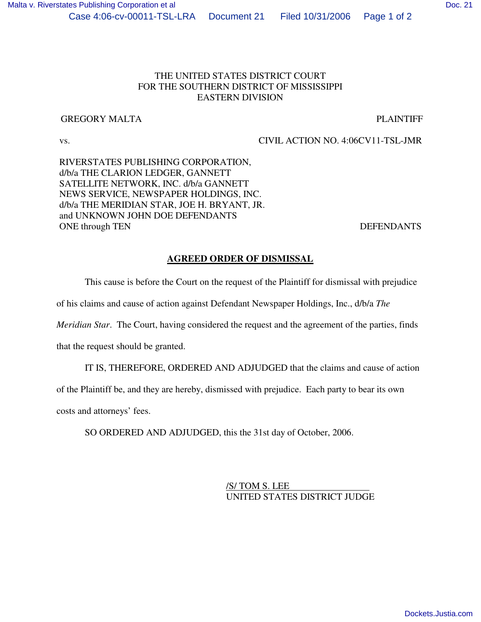### THE UNITED STATES DISTRICT COURT FOR THE SOUTHERN DISTRICT OF MISSISSIPPI EASTERN DIVISION

### GREGORY MALTA **PLAINTIFF**

# vs. CIVIL ACTION NO. 4:06CV11-TSL-JMR

RIVERSTATES PUBLISHING CORPORATION, d/b/a THE CLARION LEDGER, GANNETT SATELLITE NETWORK, INC. d/b/a GANNETT NEWS SERVICE, NEWSPAPER HOLDINGS, INC. d/b/a THE MERIDIAN STAR, JOE H. BRYANT, JR. and UNKNOWN JOHN DOE DEFENDANTS ONE through TEN DEFENDANTS

## **AGREED ORDER OF DISMISSAL**

This cause is before the Court on the request of the Plaintiff for dismissal with prejudice

of his claims and cause of action against Defendant Newspaper Holdings, Inc., d/b/a *The*

*Meridian Star*. The Court, having considered the request and the agreement of the parties, finds

that the request should be granted.

IT IS, THEREFORE, ORDERED AND ADJUDGED that the claims and cause of action

of the Plaintiff be, and they are hereby, dismissed with prejudice. Each party to bear its own

costs and attorneys' fees.

SO ORDERED AND ADJUDGED, this the 31st day of October, 2006.

/S/ TOM S. LEE UNITED STATES DISTRICT JUDGE